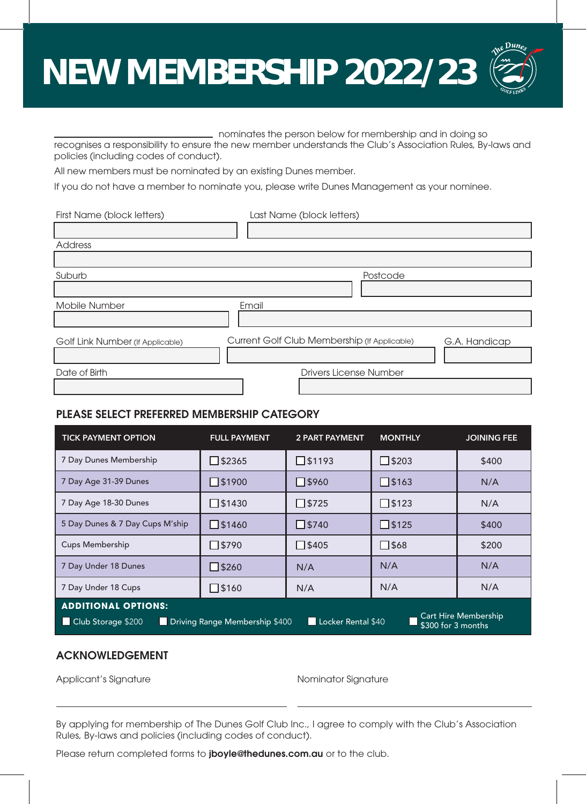# **NEW MEMBERSHIP 2022/23**

 nominates the person below for membership and in doing so recognises a responsibility to ensure the new member understands the Club's Association Rules, By-laws and policies (including codes of conduct).

All new members must be nominated by an existing Dunes member.

If you do not have a member to nominate you, please write Dunes Management as your nominee.

| First Name (block letters)       | Last Name (block letters)                                     |  |  |  |
|----------------------------------|---------------------------------------------------------------|--|--|--|
|                                  |                                                               |  |  |  |
| Address                          |                                                               |  |  |  |
|                                  |                                                               |  |  |  |
| Suburb                           | Postcode                                                      |  |  |  |
|                                  |                                                               |  |  |  |
| Mobile Number                    | Email                                                         |  |  |  |
|                                  |                                                               |  |  |  |
| Golf Link Number (If Applicable) | Current Golf Club Membership (If Applicable)<br>G.A. Handicap |  |  |  |
|                                  |                                                               |  |  |  |
| Date of Birth                    | <b>Drivers License Number</b>                                 |  |  |  |
|                                  |                                                               |  |  |  |

## PLEASE SELECT PREFERRED MEMBERSHIP CATEGORY

| <b>TICK PAYMENT OPTION</b>                                                                                                                             | <b>FULL PAYMENT</b> | <b>2 PART PAYMENT</b> | <b>MONTHLY</b>  | <b>JOINING FEE</b> |  |
|--------------------------------------------------------------------------------------------------------------------------------------------------------|---------------------|-----------------------|-----------------|--------------------|--|
| 7 Day Dunes Membership                                                                                                                                 | $\sqrt{32365}$      | $\square$ \$1193      | $\square$ \$203 | \$400              |  |
| 7 Day Age 31-39 Dunes                                                                                                                                  | $\sqrt{51900}$      | <b>JS960</b>          | $\square$ \$163 | N/A                |  |
| 7 Day Age 18-30 Dunes                                                                                                                                  | $\Box$ \$1430       | $\sqrt{5725}$         | $\square$ \$123 | N/A                |  |
| 5 Day Dunes & 7 Day Cups M'ship                                                                                                                        | $\square$ \$1460    | $\square$ \$740       | $\square$ \$125 | \$400              |  |
| <b>Cups Membership</b>                                                                                                                                 | 7s790               | $\Box$ \$405          | $\square$ \$68  | \$200              |  |
| 7 Day Under 18 Dunes                                                                                                                                   | $7$ \$260           | N/A                   | N/A             | N/A                |  |
| 7 Day Under 18 Cups                                                                                                                                    | $\Box$ \$160        | N/A                   | N/A             | N/A                |  |
| <b>ADDITIONAL OPTIONS:</b><br>Cart Hire Membership<br>Locker Rental \$40<br>Club Storage \$200<br>Driving Range Membership \$400<br>\$300 for 3 months |                     |                       |                 |                    |  |

## ACKNOWLEDGEMENT

Applicant's Signature **Applicant's Signature** Applicant's Signature

By applying for membership of The Dunes Golf Club Inc., I agree to comply with the Club's Association Rules, By-laws and policies (including codes of conduct).

Please return completed forms to jboyle@thedunes.com.au or to the club.